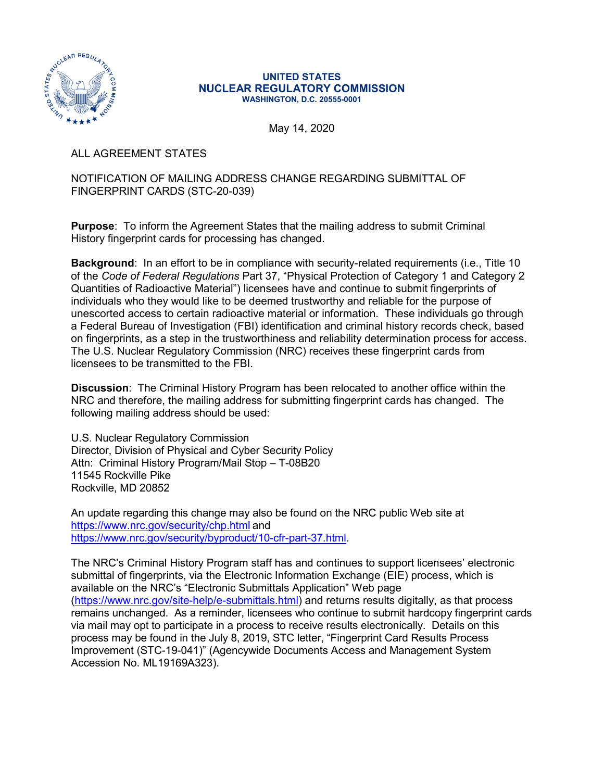

## **UNITED STATES NUCLEAR REGULATORY COMMISSION WASHINGTON, D.C. 20555-0001**

May 14, 2020

ALL AGREEMENT STATES

## NOTIFICATION OF MAILING ADDRESS CHANGE REGARDING SUBMITTAL OF FINGERPRINT CARDS (STC-20-039)

**Purpose**: To inform the Agreement States that the mailing address to submit Criminal History fingerprint cards for processing has changed.

**Background**: In an effort to be in compliance with security-related requirements (i.e., Title 10 of the *Code of Federal Regulations* Part 37, "Physical Protection of Category 1 and Category 2 Quantities of Radioactive Material") licensees have and continue to submit fingerprints of individuals who they would like to be deemed trustworthy and reliable for the purpose of unescorted access to certain radioactive material or information. These individuals go through a Federal Bureau of Investigation (FBI) identification and criminal history records check, based on fingerprints, as a step in the trustworthiness and reliability determination process for access. The U.S. Nuclear Regulatory Commission (NRC) receives these fingerprint cards from licensees to be transmitted to the FBI.

**Discussion**: The Criminal History Program has been relocated to another office within the NRC and therefore, the mailing address for submitting fingerprint cards has changed. The following mailing address should be used:

U.S. Nuclear Regulatory Commission Director, Division of Physical and Cyber Security Policy Attn: Criminal History Program/Mail Stop – T-08B20 11545 Rockville Pike Rockville, MD 20852

An update regarding this change may also be found on the NRC public Web site at <https://www.nrc.gov/security/chp.html> and [https://www.nrc.gov/security/byproduct/10-cfr-part-37.html.](https://www.nrc.gov/security/byproduct/10-cfr-part-37.html)

The NRC's Criminal History Program staff has and continues to support licensees' electronic submittal of fingerprints, via the Electronic Information Exchange (EIE) process, which is available on the NRC's "Electronic Submittals Application" Web page [\(https://www.nrc.gov/site-help/e-submittals.html\)](https://www.nrc.gov/site-help/e-submittals.html) and returns results digitally, as that process remains unchanged. As a reminder, licensees who continue to submit hardcopy fingerprint cards via mail may opt to participate in a process to receive results electronically. Details on this process may be found in the July 8, 2019, STC letter, "Fingerprint Card Results Process Improvement (STC-19-041)" (Agencywide Documents Access and Management System Accession No. ML19169A323).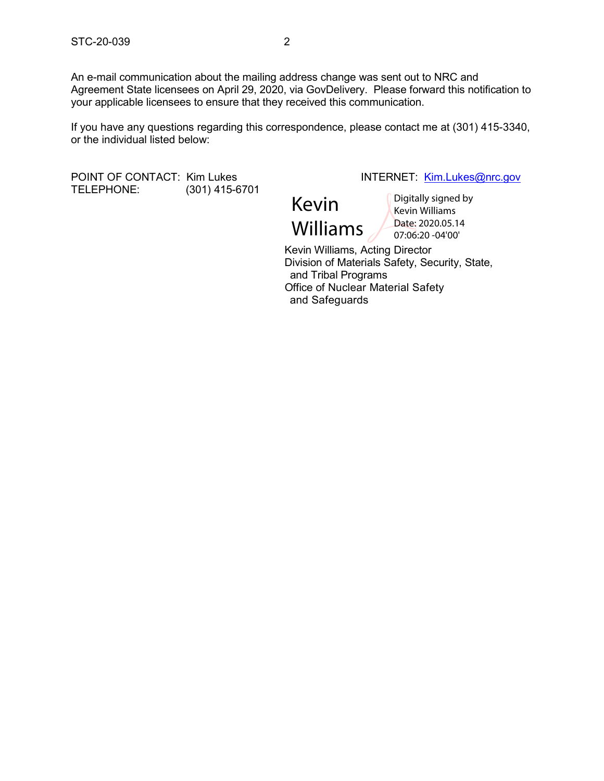An e-mail communication about the mailing address change was sent out to NRC and Agreement State licensees on April 29, 2020, via GovDelivery. Please forward this notification to your applicable licensees to ensure that they received this communication.

If you have any questions regarding this correspondence, please contact me at (301) 415-3340, or the individual listed below:

POINT OF CONTACT: Kim Lukes INTERNET: [Kim.Lukes@nrc.gov](mailto:Kim.Lukes@nrc.gov) (301) 415-6701

Kevin Williams

Digitally signed by Kevin Williams Date: 2020.05.14 07:06:20 -04'00'

 Kevin Williams, Acting Director Division of Materials Safety, Security, State, and Tribal Programs Office of Nuclear Material Safety and Safeguards